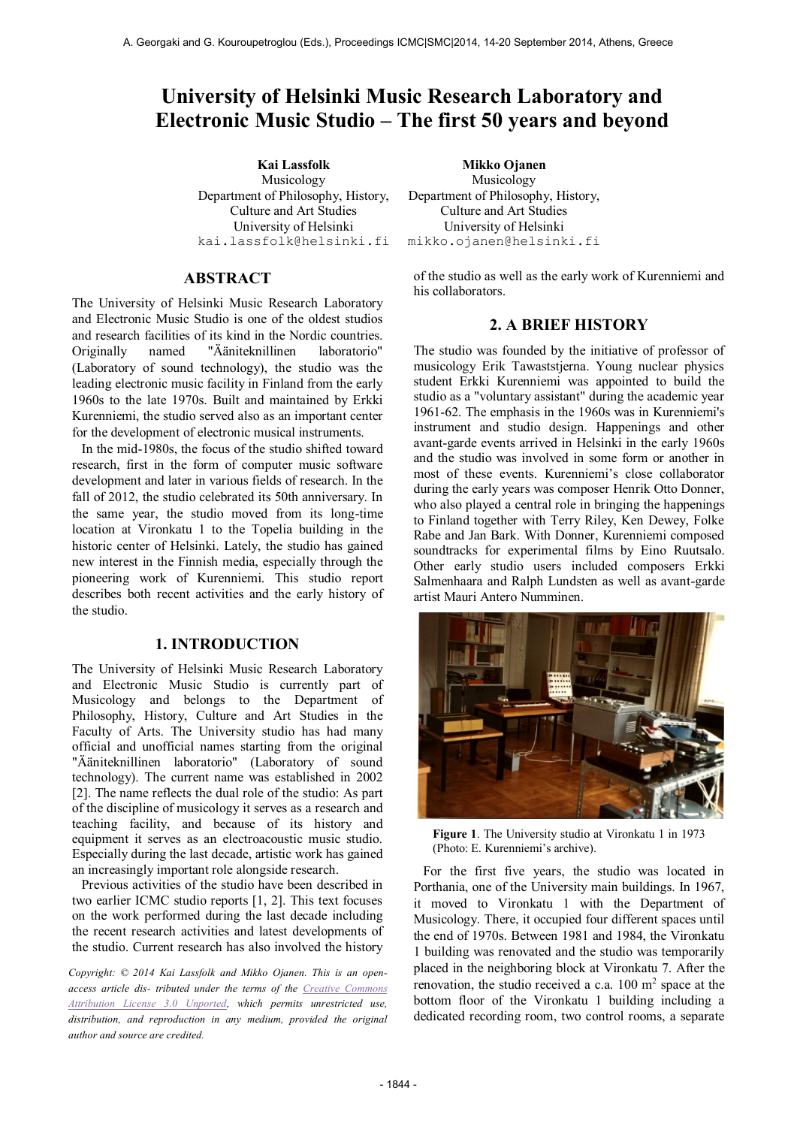# **University of Helsinki Music Research Laboratory and Electronic Music Studio – The first 50 years and beyond**

Musicology Department of Philosophy, History, Culture and Art Studies University of Helsinki [kai.lassfolk@helsinki.fi](mailto:author2@smcnetwork.org)

## **ABSTRACT**

The University of Helsinki Music Research Laboratory and Electronic Music Studio is one of the oldest studios and research facilities of its kind in the Nordic countries.<br>Originally named "Ääniteknillinen laboratorio" Originally named "Ääniteknillinen laboratorio" (Laboratory of sound technology), the studio was the leading electronic music facility in Finland from the early 1960s to the late 1970s. Built and maintained by Erkki Kurenniemi, the studio served also as an important center for the development of electronic musical instruments.

In the mid-1980s, the focus of the studio shifted toward research, first in the form of computer music software development and later in various fields of research. In the fall of 2012, the studio celebrated its 50th anniversary. In the same year, the studio moved from its long-time location at Vironkatu 1 to the Topelia building in the historic center of Helsinki. Lately, the studio has gained new interest in the Finnish media, especially through the pioneering work of Kurenniemi. This studio report describes both recent activities and the early history of the studio.

# **1. INTRODUCTION**

The University of Helsinki Music Research Laboratory and Electronic Music Studio is currently part of Musicology and belongs to the Department of Philosophy, History, Culture and Art Studies in the Faculty of Arts. The University studio has had many official and unofficial names starting from the original "Ääniteknillinen laboratorio" (Laboratory of sound technology). The current name was established in 2002 [2]. The name reflects the dual role of the studio: As part of the discipline of musicology it serves as a research and teaching facility, and because of its history and equipment it serves as an electroacoustic music studio. Especially during the last decade, artistic work has gained an increasingly important role alongside research.

Previous activities of the studio have been described in two earlier ICMC studio reports [1, 2]. This text focuses on the work performed during the last decade including the recent research activities and latest developments of the studio. Current research has also involved the history

*Copyright: © 2014 Kai Lassfolk and Mikko Ojanen. This is an openaccess article dis- tributed under the terms of the [Creative Commons](http://creativecommons.org/licenses/by/3.0/)  [Attribution License 3.0 Unported,](http://creativecommons.org/licenses/by/3.0/) which permits unrestricted use, distribution, and reproduction in any medium, provided the original author and source are credited.*

**Kai Lassfolk Mikko Ojanen** Musicology Department of Philosophy, History, Culture and Art Studies University of Helsinki [mikko.ojanen@helsinki.fi](mailto:author2@smcnetwork.org)

> of the studio as well as the early work of Kurenniemi and his collaborators.

#### **2. A BRIEF HISTORY**

The studio was founded by the initiative of professor of musicology Erik Tawaststjerna. Young nuclear physics student Erkki Kurenniemi was appointed to build the studio as a "voluntary assistant" during the academic year 1961-62. The emphasis in the 1960s was in Kurenniemi's instrument and studio design. Happenings and other avant-garde events arrived in Helsinki in the early 1960s and the studio was involved in some form or another in most of these events. Kurenniemi's close collaborator during the early years was composer Henrik Otto Donner. who also played a central role in bringing the happenings to Finland together with Terry Riley, Ken Dewey, Folke Rabe and Jan Bark. With Donner, Kurenniemi composed soundtracks for experimental films by Eino Ruutsalo. Other early studio users included composers Erkki Salmenhaara and Ralph Lundsten as well as avant-garde artist Mauri Antero Numminen.



**Figure 1**. The University studio at Vironkatu 1 in 1973 (Photo: E. Kurenniemi's archive).

For the first five years, the studio was located in Porthania, one of the University main buildings. In 1967, it moved to Vironkatu 1 with the Department of Musicology. There, it occupied four different spaces until the end of 1970s. Between 1981 and 1984, the Vironkatu 1 building was renovated and the studio was temporarily placed in the neighboring block at Vironkatu 7. After the renovation, the studio received a c.a.  $100 \text{ m}^2$  space at the bottom floor of the Vironkatu 1 building including a dedicated recording room, two control rooms, a separate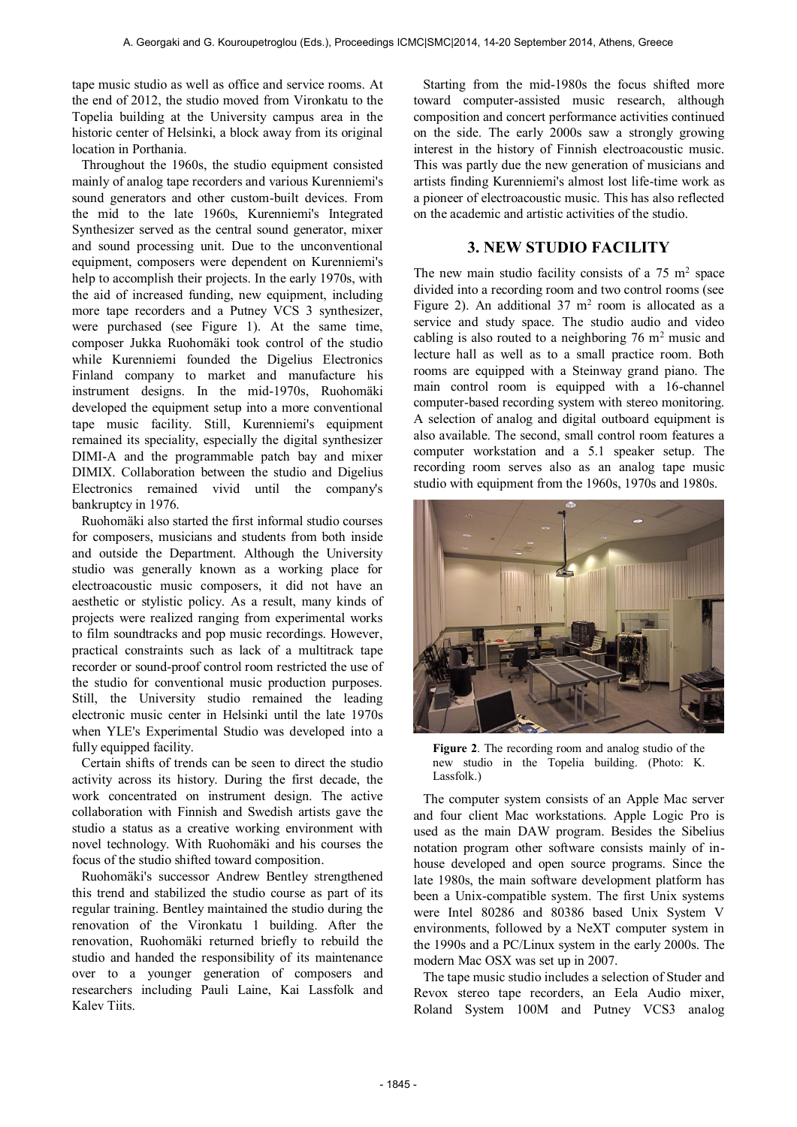tape music studio as well as office and service rooms. At the end of 2012, the studio moved from Vironkatu to the Topelia building at the University campus area in the historic center of Helsinki, a block away from its original location in Porthania.

Throughout the 1960s, the studio equipment consisted mainly of analog tape recorders and various Kurenniemi's sound generators and other custom-built devices. From the mid to the late 1960s, Kurenniemi's Integrated Synthesizer served as the central sound generator, mixer and sound processing unit. Due to the unconventional equipment, composers were dependent on Kurenniemi's help to accomplish their projects. In the early 1970s, with the aid of increased funding, new equipment, including more tape recorders and a Putney VCS 3 synthesizer, were purchased (see Figure 1). At the same time, composer Jukka Ruohomäki took control of the studio while Kurenniemi founded the Digelius Electronics Finland company to market and manufacture his instrument designs. In the mid-1970s, Ruohomäki developed the equipment setup into a more conventional tape music facility. Still, Kurenniemi's equipment remained its speciality, especially the digital synthesizer DIMI-A and the programmable patch bay and mixer DIMIX. Collaboration between the studio and Digelius Electronics remained vivid until the company's bankruptcy in 1976.

Ruohomäki also started the first informal studio courses for composers, musicians and students from both inside and outside the Department. Although the University studio was generally known as a working place for electroacoustic music composers, it did not have an aesthetic or stylistic policy. As a result, many kinds of projects were realized ranging from experimental works to film soundtracks and pop music recordings. However, practical constraints such as lack of a multitrack tape recorder or sound-proof control room restricted the use of the studio for conventional music production purposes. Still, the University studio remained the leading electronic music center in Helsinki until the late 1970s when YLE's Experimental Studio was developed into a fully equipped facility.

Certain shifts of trends can be seen to direct the studio activity across its history. During the first decade, the work concentrated on instrument design. The active collaboration with Finnish and Swedish artists gave the studio a status as a creative working environment with novel technology. With Ruohomäki and his courses the focus of the studio shifted toward composition.

Ruohomäki's successor Andrew Bentley strengthened this trend and stabilized the studio course as part of its regular training. Bentley maintained the studio during the renovation of the Vironkatu 1 building. After the renovation, Ruohomäki returned briefly to rebuild the studio and handed the responsibility of its maintenance over to a younger generation of composers and researchers including Pauli Laine, Kai Lassfolk and Kalev Tiits.

Starting from the mid-1980s the focus shifted more toward computer-assisted music research, although composition and concert performance activities continued on the side. The early 2000s saw a strongly growing interest in the history of Finnish electroacoustic music. This was partly due the new generation of musicians and artists finding Kurenniemi's almost lost life-time work as a pioneer of electroacoustic music. This has also reflected on the academic and artistic activities of the studio.

#### **3. NEW STUDIO FACILITY**

The new main studio facility consists of a  $75 \text{ m}^2$  space divided into a recording room and two control rooms (see Figure 2). An additional  $37 \text{ m}^2$  room is allocated as a service and study space. The studio audio and video cabling is also routed to a neighboring  $76 \text{ m}^2$  music and lecture hall as well as to a small practice room. Both rooms are equipped with a Steinway grand piano. The main control room is equipped with a 16-channel computer-based recording system with stereo monitoring. A selection of analog and digital outboard equipment is also available. The second, small control room features a computer workstation and a 5.1 speaker setup. The recording room serves also as an analog tape music studio with equipment from the 1960s, 1970s and 1980s.



**Figure 2**. The recording room and analog studio of the new studio in the Topelia building. (Photo: K. Lassfolk.)

The computer system consists of an Apple Mac server and four client Mac workstations. Apple Logic Pro is used as the main DAW program. Besides the Sibelius notation program other software consists mainly of inhouse developed and open source programs. Since the late 1980s, the main software development platform has been a Unix-compatible system. The first Unix systems were Intel 80286 and 80386 based Unix System V environments, followed by a NeXT computer system in the 1990s and a PC/Linux system in the early 2000s. The modern Mac OSX was set up in 2007.

The tape music studio includes a selection of Studer and Revox stereo tape recorders, an Eela Audio mixer, Roland System 100M and Putney VCS3 analog